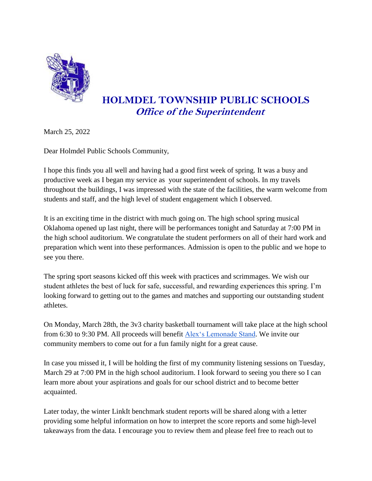

## **HOLMDEL TOWNSHIP PUBLIC SCHOOLS Office of the Superintendent**

March 25, 2022

Dear Holmdel Public Schools Community,

I hope this finds you all well and having had a good first week of spring. It was a busy and productive week as I began my service as your superintendent of schools. In my travels throughout the buildings, I was impressed with the state of the facilities, the warm welcome from students and staff, and the high level of student engagement which I observed.

It is an exciting time in the district with much going on. The high school spring musical Oklahoma opened up last night, there will be performances tonight and Saturday at 7:00 PM in the high school auditorium. We congratulate the student performers on all of their hard work and preparation which went into these performances. Admission is open to the public and we hope to see you there.

The spring sport seasons kicked off this week with practices and scrimmages. We wish our student athletes the best of luck for safe, successful, and rewarding experiences this spring. I'm looking forward to getting out to the games and matches and supporting our outstanding student athletes.

On Monday, March 28th, the 3v3 charity basketball tournament will take place at the high school from 6:30 to 9:30 PM. All proceeds will benefit [Alex's Lemonade Stand.](https://www.alexslemonade.org/) We invite our community members to come out for a fun family night for a great cause.

In case you missed it, I will be holding the first of my community listening sessions on Tuesday, March 29 at 7:00 PM in the high school auditorium. I look forward to seeing you there so I can learn more about your aspirations and goals for our school district and to become better acquainted.

Later today, the winter LinkIt benchmark student reports will be shared along with a letter providing some helpful information on how to interpret the score reports and some high-level takeaways from the data. I encourage you to review them and please feel free to reach out to